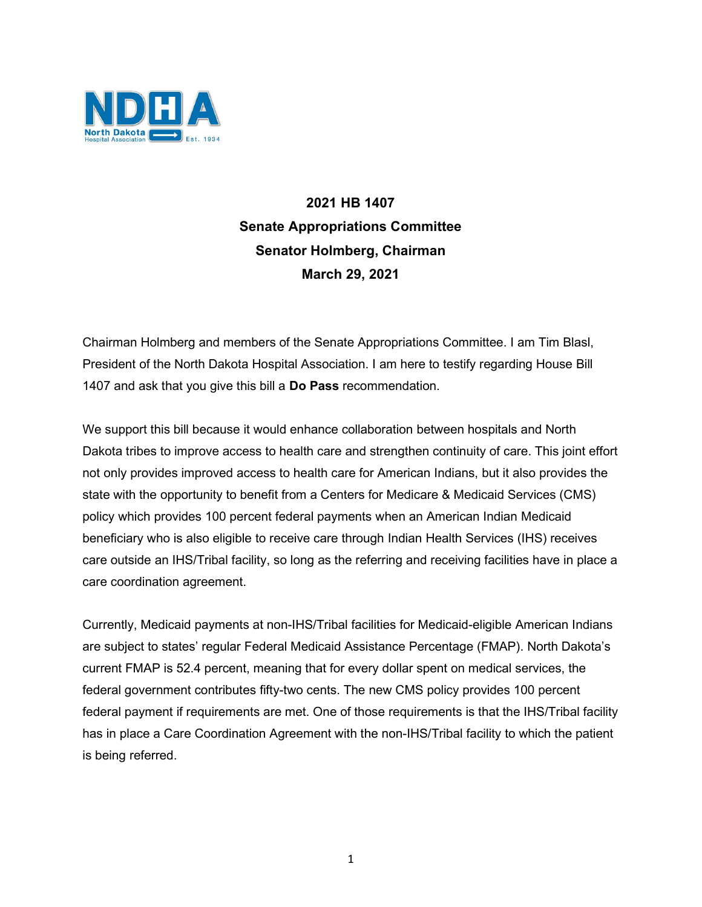

## 2021 HB 1407 Senate Appropriations Committee Senator Holmberg, Chairman March 29, 2021

Chairman Holmberg and members of the Senate Appropriations Committee. I am Tim Blasl, President of the North Dakota Hospital Association. I am here to testify regarding House Bill 1407 and ask that you give this bill a Do Pass recommendation.

We support this bill because it would enhance collaboration between hospitals and North Dakota tribes to improve access to health care and strengthen continuity of care. This joint effort not only provides improved access to health care for American Indians, but it also provides the state with the opportunity to benefit from a Centers for Medicare & Medicaid Services (CMS) policy which provides 100 percent federal payments when an American Indian Medicaid beneficiary who is also eligible to receive care through Indian Health Services (IHS) receives care outside an IHS/Tribal facility, so long as the referring and receiving facilities have in place a care coordination agreement.

Currently, Medicaid payments at non-IHS/Tribal facilities for Medicaid-eligible American Indians are subject to states' regular Federal Medicaid Assistance Percentage (FMAP). North Dakota's current FMAP is 52.4 percent, meaning that for every dollar spent on medical services, the federal government contributes fifty-two cents. The new CMS policy provides 100 percent federal payment if requirements are met. One of those requirements is that the IHS/Tribal facility has in place a Care Coordination Agreement with the non-IHS/Tribal facility to which the patient is being referred.

1